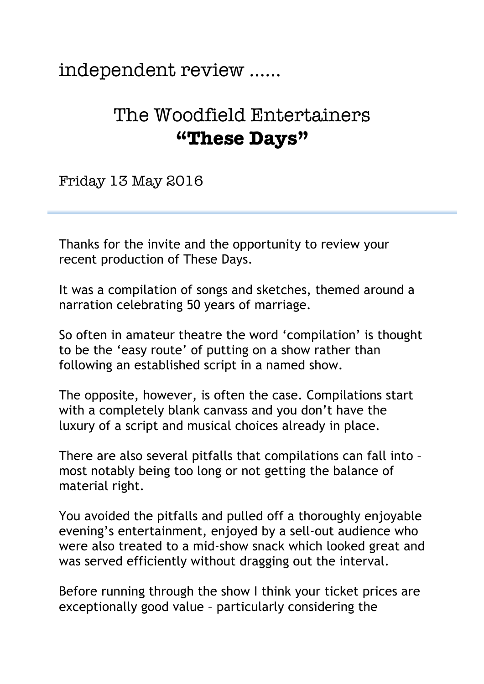## independent review ……

## The Woodfield Entertainers **"These Days"**

Friday 13 May 2016

Thanks for the invite and the opportunity to review your recent production of These Days.

It was a compilation of songs and sketches, themed around a narration celebrating 50 years of marriage.

So often in amateur theatre the word 'compilation' is thought to be the 'easy route' of putting on a show rather than following an established script in a named show.

The opposite, however, is often the case. Compilations start with a completely blank canvass and you don't have the luxury of a script and musical choices already in place.

There are also several pitfalls that compilations can fall into – most notably being too long or not getting the balance of material right.

You avoided the pitfalls and pulled off a thoroughly enjoyable evening's entertainment, enjoyed by a sell-out audience who were also treated to a mid-show snack which looked great and was served efficiently without dragging out the interval.

Before running through the show I think your ticket prices are exceptionally good value – particularly considering the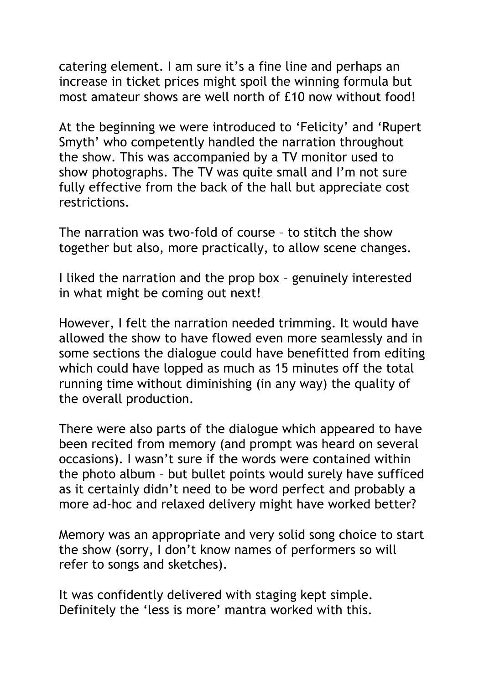catering element. I am sure it's a fine line and perhaps an increase in ticket prices might spoil the winning formula but most amateur shows are well north of £10 now without food!

At the beginning we were introduced to 'Felicity' and 'Rupert Smyth' who competently handled the narration throughout the show. This was accompanied by a TV monitor used to show photographs. The TV was quite small and I'm not sure fully effective from the back of the hall but appreciate cost restrictions.

The narration was two-fold of course – to stitch the show together but also, more practically, to allow scene changes.

I liked the narration and the prop box – genuinely interested in what might be coming out next!

However, I felt the narration needed trimming. It would have allowed the show to have flowed even more seamlessly and in some sections the dialogue could have benefitted from editing which could have lopped as much as 15 minutes off the total running time without diminishing (in any way) the quality of the overall production.

There were also parts of the dialogue which appeared to have been recited from memory (and prompt was heard on several occasions). I wasn't sure if the words were contained within the photo album – but bullet points would surely have sufficed as it certainly didn't need to be word perfect and probably a more ad-hoc and relaxed delivery might have worked better?

Memory was an appropriate and very solid song choice to start the show (sorry, I don't know names of performers so will refer to songs and sketches).

It was confidently delivered with staging kept simple. Definitely the 'less is more' mantra worked with this.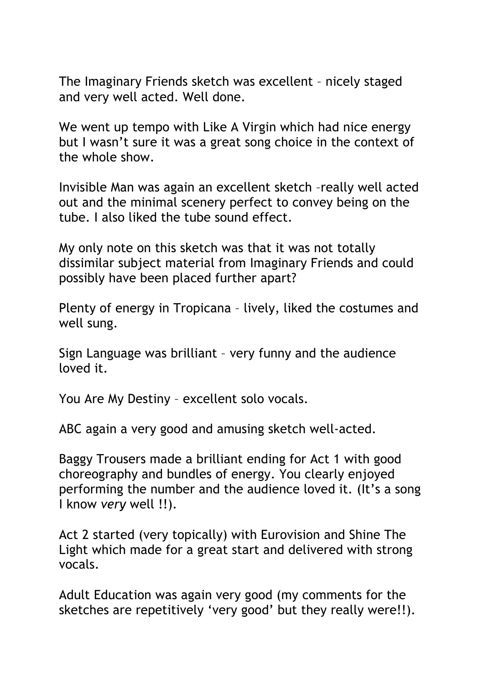The Imaginary Friends sketch was excellent – nicely staged and very well acted. Well done.

We went up tempo with Like A Virgin which had nice energy but I wasn't sure it was a great song choice in the context of the whole show.

Invisible Man was again an excellent sketch –really well acted out and the minimal scenery perfect to convey being on the tube. I also liked the tube sound effect.

My only note on this sketch was that it was not totally dissimilar subject material from Imaginary Friends and could possibly have been placed further apart?

Plenty of energy in Tropicana – lively, liked the costumes and well sung.

Sign Language was brilliant – very funny and the audience loved it.

You Are My Destiny – excellent solo vocals.

ABC again a very good and amusing sketch well-acted.

Baggy Trousers made a brilliant ending for Act 1 with good choreography and bundles of energy. You clearly enjoyed performing the number and the audience loved it. (It's a song I know *very* well !!).

Act 2 started (very topically) with Eurovision and Shine The Light which made for a great start and delivered with strong vocals.

Adult Education was again very good (my comments for the sketches are repetitively 'very good' but they really were!!).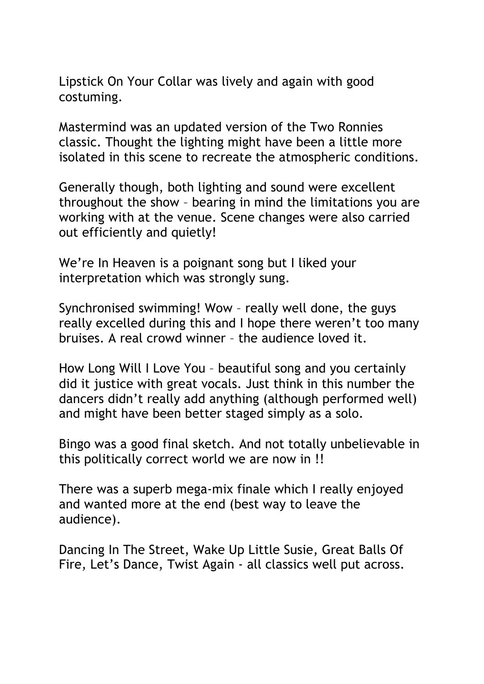Lipstick On Your Collar was lively and again with good costuming.

Mastermind was an updated version of the Two Ronnies classic. Thought the lighting might have been a little more isolated in this scene to recreate the atmospheric conditions.

Generally though, both lighting and sound were excellent throughout the show – bearing in mind the limitations you are working with at the venue. Scene changes were also carried out efficiently and quietly!

We're In Heaven is a poignant song but I liked your interpretation which was strongly sung.

Synchronised swimming! Wow – really well done, the guys really excelled during this and I hope there weren't too many bruises. A real crowd winner – the audience loved it.

How Long Will I Love You – beautiful song and you certainly did it justice with great vocals. Just think in this number the dancers didn't really add anything (although performed well) and might have been better staged simply as a solo.

Bingo was a good final sketch. And not totally unbelievable in this politically correct world we are now in !!

There was a superb mega-mix finale which I really enjoyed and wanted more at the end (best way to leave the audience).

Dancing In The Street, Wake Up Little Susie, Great Balls Of Fire, Let's Dance, Twist Again - all classics well put across.